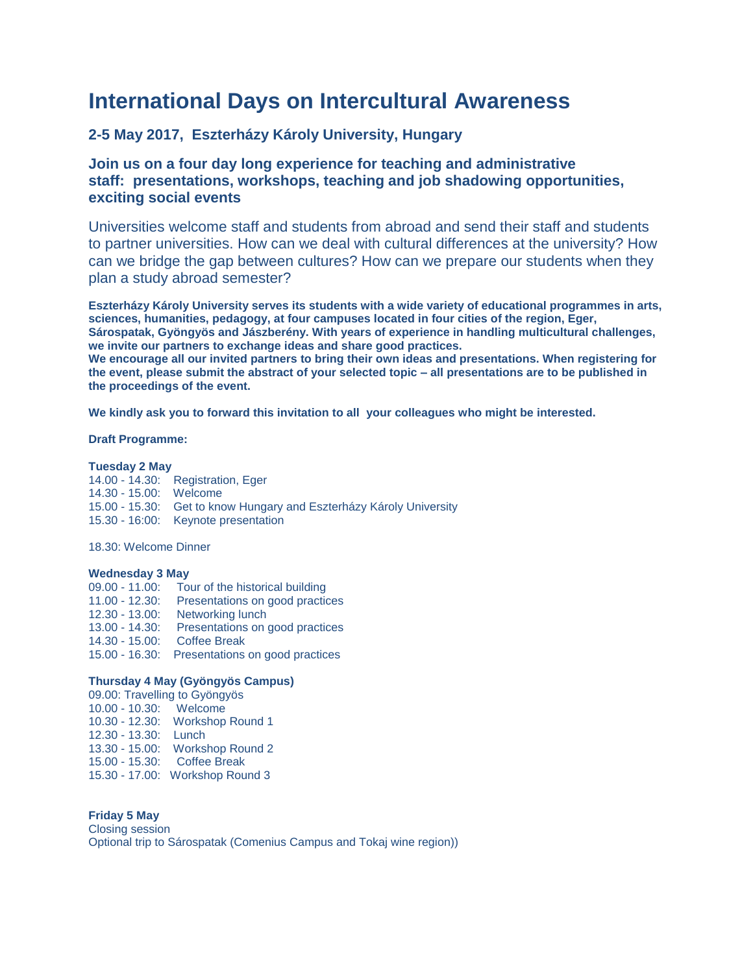# **International Days on Intercultural Awareness**

# **2-5 May 2017, Eszterházy Károly University, Hungary**

# **Join us on a four day long experience for teaching and administrative staff: presentations, workshops, teaching and job shadowing opportunities, exciting social events**

Universities welcome staff and students from abroad and send their staff and students to partner universities. How can we deal with cultural differences at the university? How can we bridge the gap between cultures? How can we prepare our students when they plan a study abroad semester?

**Eszterházy Károly University serves its students with a wide variety of educational programmes in arts, sciences, humanities, pedagogy, at four campuses located in four cities of the region, Eger, Sárospatak, Gyöngyös and Jászberény. With years of experience in handling multicultural challenges, we invite our partners to exchange ideas and share good practices. We encourage all our invited partners to bring their own ideas and presentations. When registering for**

**the event, please submit the abstract of your selected topic – all presentations are to be published in the proceedings of the event.**

**We kindly ask you to forward this invitation to all your colleagues who might be interested.**

### **Draft Programme:**

### **Tuesday 2 May**

14.00 - 14.30: Registration, Eger 14.30 - 15.00: Welcome 15.00 - 15.30: Get to know Hungary and Eszterházy Károly University 15.30 - 16:00: Keynote presentation

18.30: Welcome Dinner

#### **Wednesday 3 May**

09.00 - 11.00: Tour of the historical building 11.00 - 12.30: Presentations on good practices 12.30 - 13.00: Networking lunch 13.00 - 14.30: Presentations on good practices 14.30 - 15.00: Coffee Break 15.00 - 16.30: Presentations on good practices

## **Thursday 4 May (Gyöngyös Campus)**

09.00: Travelling to Gyöngyös 10.00 - 10.30: Welcome 10.30 - 12.30: Workshop Round 1 12.30 - 13.30: Lunch 13.30 - 15.00: Workshop Round 2 15.00 - 15.30: Coffee Break 15.30 - 17.00: Workshop Round 3

#### **Friday 5 May** Closing session Optional trip to Sárospatak (Comenius Campus and Tokaj wine region))